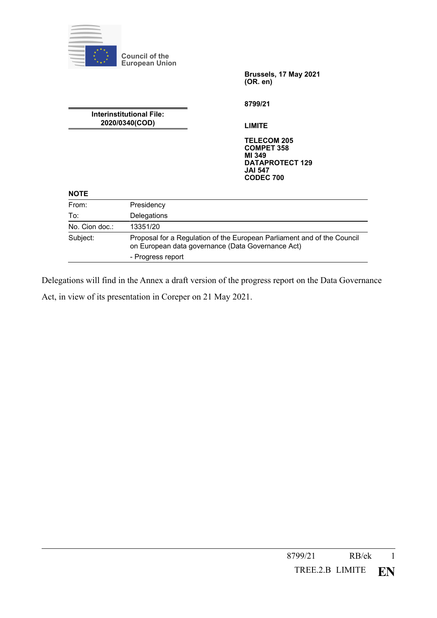

**Council of the European Union**

> **Brussels, 17 May 2021 (OR. en)**

**8799/21**

**Interinstitutional File: 2020/0340(COD)**

**LIMITE**

**TELECOM 205 COMPET 358 MI 349 DATAPROTECT 129 JAI 547 CODEC 700**

## **NOTE**

| From:          | Presidency                                                                                                                   |
|----------------|------------------------------------------------------------------------------------------------------------------------------|
| To:            | Delegations                                                                                                                  |
| No. Cion doc.: | 13351/20                                                                                                                     |
| Subject:       | Proposal for a Regulation of the European Parliament and of the Council<br>on European data governance (Data Governance Act) |
|                | - Progress report                                                                                                            |

Delegations will find in the Annex a draft version of the progress report on the Data Governance Act, in view of its presentation in Coreper on 21 May 2021.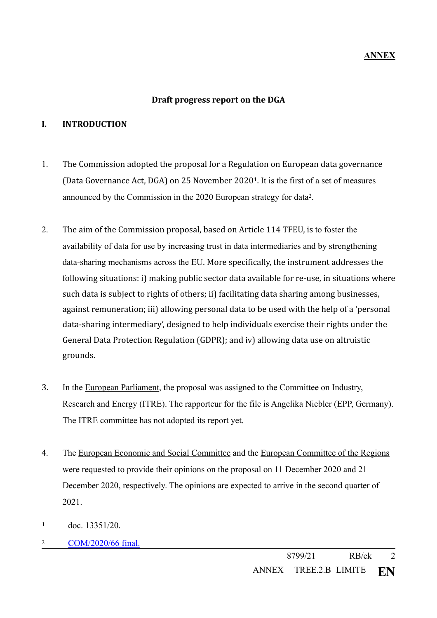## <span id="page-1-3"></span>**ANNEX**

### <span id="page-1-2"></span>Draft progress report on the DGA

#### **I. INTRODUCTION**

- 1. The Commission adopted the proposal for a Regulation on European data governance (Data Governance Act, DGA) on 25 November 2020<sup>[1](#page-1-0)</sup>. It is the first of a set of measures announced by the Commission in the [2](#page-1-1)020 European strategy for data<sup>2</sup>.
- 2. The aim of the Commission proposal, based on Article 114 TFEU, is to foster the availability of data for use by increasing trust in data intermediaries and by strengthening data-sharing mechanisms across the EU. More specifically, the instrument addresses the following situations: i) making public sector data available for re-use, in situations where such data is subject to rights of others; ii) facilitating data sharing among businesses, against remuneration; iii) allowing personal data to be used with the help of a 'personal data-sharing intermediary', designed to help individuals exercise their rights under the General Data Protection Regulation (GDPR); and iv) allowing data use on altruistic grounds.
- 3. In the European Parliament, the proposal was assigned to the Committee on Industry, Research and Energy (ITRE). The rapporteur for the file is Angelika Niebler (EPP, Germany). The ITRE committee has not adopted its report yet.
- 4. The European Economic and Social Committee and the European Committee of the Regions were requested to provide their opinions on the proposal on 11 December 2020 and 21 December 2020, respectively. The opinions are expected to arrive in the second quarter of 2021.
- <span id="page-1-0"></span>doc. 13351/20. **[1](#page-1-2)**
- <span id="page-1-1"></span>[COM/2020/66 final.](https://ec.europa.eu/info/sites/info/files/communication-european-strategy-data-19feb2020_en.pdf) [2](#page-1-3)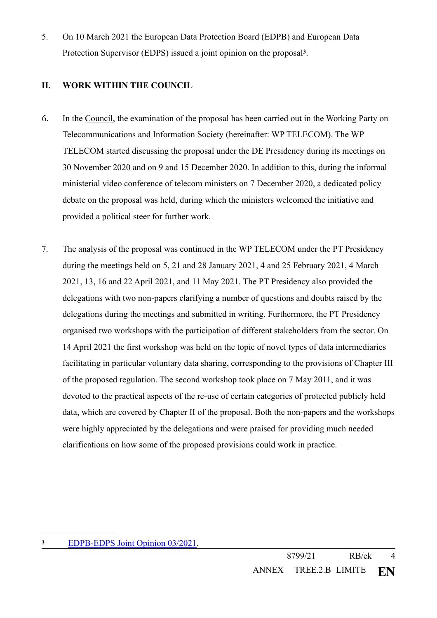<span id="page-3-1"></span>5. On 10 March 2021 the European Data Protection Board (EDPB) and European Data Protection Supervisor (EDPS) issued a joint opinion on the proposal<sup>[3](#page-3-0)</sup>.

# **II. WORK WITHIN THE COUNCIL**

- 6. In the Council, the examination of the proposal has been carried out in the Working Party on Telecommunications and Information Society (hereinafter: WP TELECOM). The WP TELECOM started discussing the proposal under the DE Presidency during its meetings on 30 November 2020 and on 9 and 15 December 2020. In addition to this, during the informal ministerial video conference of telecom ministers on 7 December 2020, a dedicated policy debate on the proposal was held, during which the ministers welcomed the initiative and provided a political steer for further work.
- 7. The analysis of the proposal was continued in the WP TELECOM under the PT Presidency during the meetings held on 5, 21 and 28 January 2021, 4 and 25 February 2021, 4 March 2021, 13, 16 and 22 April 2021, and 11 May 2021. The PT Presidency also provided the delegations with two non-papers clarifying a number of questions and doubts raised by the delegations during the meetings and submitted in writing. Furthermore, the PT Presidency organised two workshops with the participation of different stakeholders from the sector. On 14 April 2021 the first workshop was held on the topic of novel types of data intermediaries facilitating in particular voluntary data sharing, corresponding to the provisions of Chapter III of the proposed regulation. The second workshop took place on 7 May 2011, and it was devoted to the practical aspects of the re-use of certain categories of protected publicly held data, which are covered by Chapter II of the proposal. Both the non-papers and the workshops were highly appreciated by the delegations and were praised for providing much needed clarifications on how some of the proposed provisions could work in practice.

<span id="page-3-0"></span>[EDPB-EDPS Joint Opinion 03/2021.](https://edpb.europa.eu/our-work-tools/our-documents/edpbedps-joint-opinion/edpb-edps-joint-opinion-032021-proposal_en) **[3](#page-3-1)**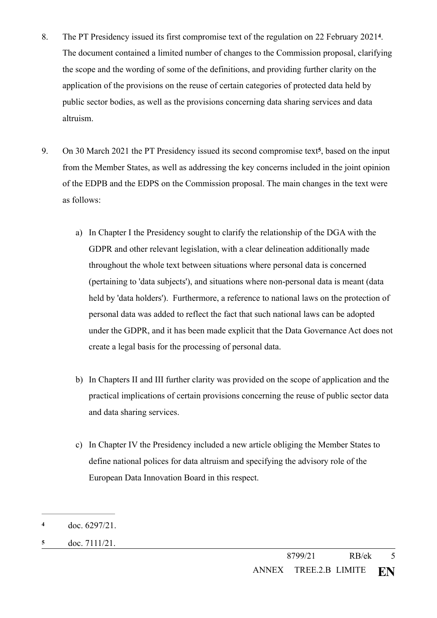- <span id="page-4-2"></span>8. The PT Presidency issued its first compromise text of the regulation on 22 February 2021<sup>[4](#page-4-0)</sup>. The document contained a limited number of changes to the Commission proposal, clarifying the scope and the wording of some of the definitions, and providing further clarity on the application of the provisions on the reuse of certain categories of protected data held by public sector bodies, as well as the provisions concerning data sharing services and data altruism.
- <span id="page-4-3"></span>9. On 30 March 2021 the PT Presidency issued its second compromise text<sup>[5](#page-4-1)</sup>, based on the input from the Member States, as well as addressing the key concerns included in the joint opinion of the EDPB and the EDPS on the Commission proposal. The main changes in the text were as follows:
	- a) In Chapter I the Presidency sought to clarify the relationship of the DGA with the GDPR and other relevant legislation, with a clear delineation additionally made throughout the whole text between situations where personal data is concerned (pertaining to 'data subjects'), and situations where non-personal data is meant (data held by 'data holders'). Furthermore, a reference to national laws on the protection of personal data was added to reflect the fact that such national laws can be adopted under the GDPR, and it has been made explicit that the Data Governance Act does not create a legal basis for the processing of personal data.
	- b) In Chapters II and III further clarity was provided on the scope of application and the practical implications of certain provisions concerning the reuse of public sector data and data sharing services.
	- c) In Chapter IV the Presidency included a new article obliging the Member States to define national polices for data altruism and specifying the advisory role of the European Data Innovation Board in this respect.

<span id="page-4-0"></span>doc. 6297/21. **[4](#page-4-2)**

<span id="page-4-1"></span>doc. 7111/21. **[5](#page-4-3)**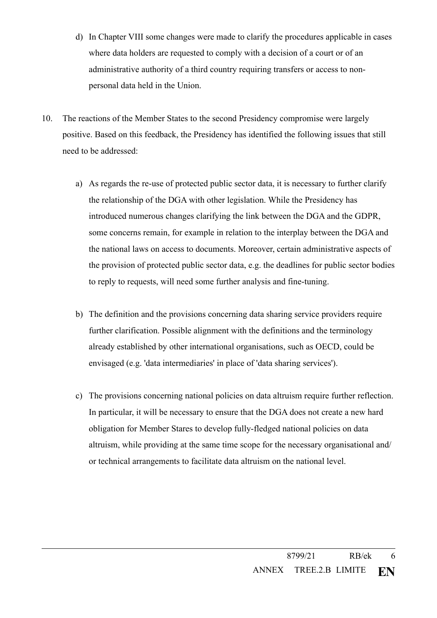- d) In Chapter VIII some changes were made to clarify the procedures applicable in cases where data holders are requested to comply with a decision of a court or of an administrative authority of a third country requiring transfers or access to nonpersonal data held in the Union.
- 10. The reactions of the Member States to the second Presidency compromise were largely positive. Based on this feedback, the Presidency has identified the following issues that still need to be addressed:
	- a) As regards the re-use of protected public sector data, it is necessary to further clarify the relationship of the DGA with other legislation. While the Presidency has introduced numerous changes clarifying the link between the DGA and the GDPR, some concerns remain, for example in relation to the interplay between the DGA and the national laws on access to documents. Moreover, certain administrative aspects of the provision of protected public sector data, e.g. the deadlines for public sector bodies to reply to requests, will need some further analysis and fine-tuning.
	- b) The definition and the provisions concerning data sharing service providers require further clarification. Possible alignment with the definitions and the terminology already established by other international organisations, such as OECD, could be envisaged (e.g. 'data intermediaries' in place of 'data sharing services').
	- c) The provisions concerning national policies on data altruism require further reflection. In particular, it will be necessary to ensure that the DGA does not create a new hard obligation for Member Stares to develop fully-fledged national policies on data altruism, while providing at the same time scope for the necessary organisational and/ or technical arrangements to facilitate data altruism on the national level.